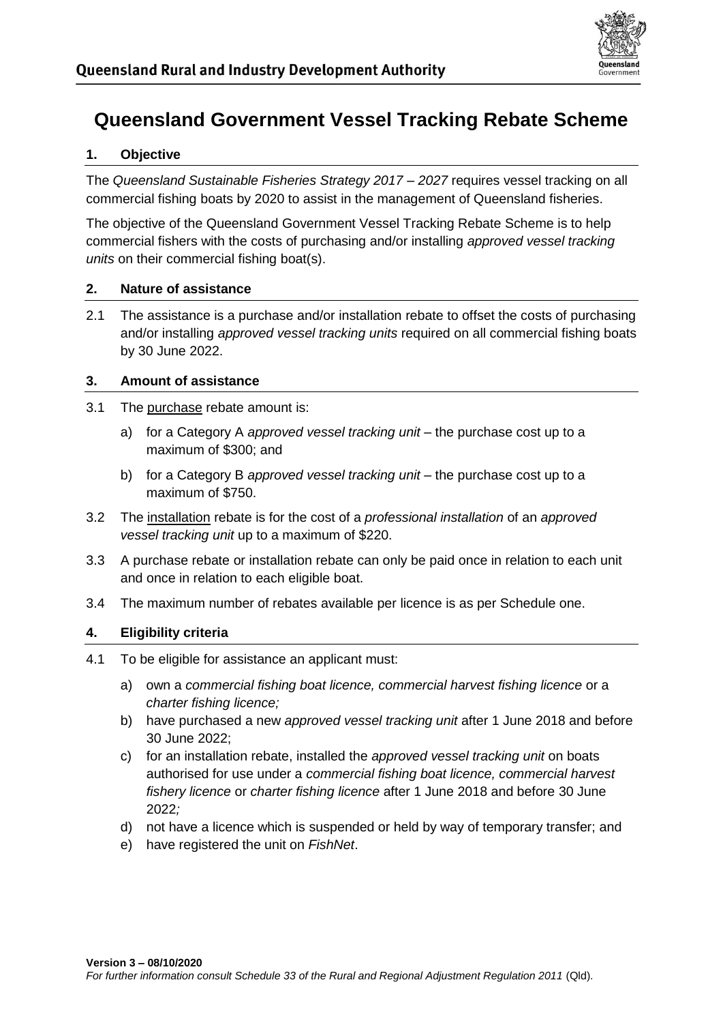

# **Queensland Government Vessel Tracking Rebate Scheme**

## **1. Objective**

The *Queensland Sustainable Fisheries Strategy 2017 – 2027* requires vessel tracking on all commercial fishing boats by 2020 to assist in the management of Queensland fisheries.

The objective of the Queensland Government Vessel Tracking Rebate Scheme is to help commercial fishers with the costs of purchasing and/or installing *approved vessel tracking units* on their commercial fishing boat(s).

#### **2. Nature of assistance**

2.1 The assistance is a purchase and/or installation rebate to offset the costs of purchasing and/or installing *approved vessel tracking units* required on all commercial fishing boats by 30 June 2022.

## **3. Amount of assistance**

- 3.1 The purchase rebate amount is:
	- a) for a Category A *approved vessel tracking unit* the purchase cost up to a maximum of \$300; and
	- b) for a Category B *approved vessel tracking unit* the purchase cost up to a maximum of \$750.
- 3.2 The installation rebate is for the cost of a *professional installation* of an *approved vessel tracking unit* up to a maximum of \$220.
- 3.3 A purchase rebate or installation rebate can only be paid once in relation to each unit and once in relation to each eligible boat.
- 3.4 The maximum number of rebates available per licence is as per Schedule one.

## **4. Eligibility criteria**

- 4.1 To be eligible for assistance an applicant must:
	- a) own a *commercial fishing boat licence, commercial harvest fishing licence* or a *charter fishing licence;*
	- b) have purchased a new *approved vessel tracking unit* after 1 June 2018 and before 30 June 2022;
	- c) for an installation rebate, installed the *approved vessel tracking unit* on boats authorised for use under a *commercial fishing boat licence, commercial harvest fishery licence* or *charter fishing licence* after 1 June 2018 and before 30 June 2022*;*
	- d) not have a licence which is suspended or held by way of temporary transfer; and
	- e) have registered the unit on *FishNet*.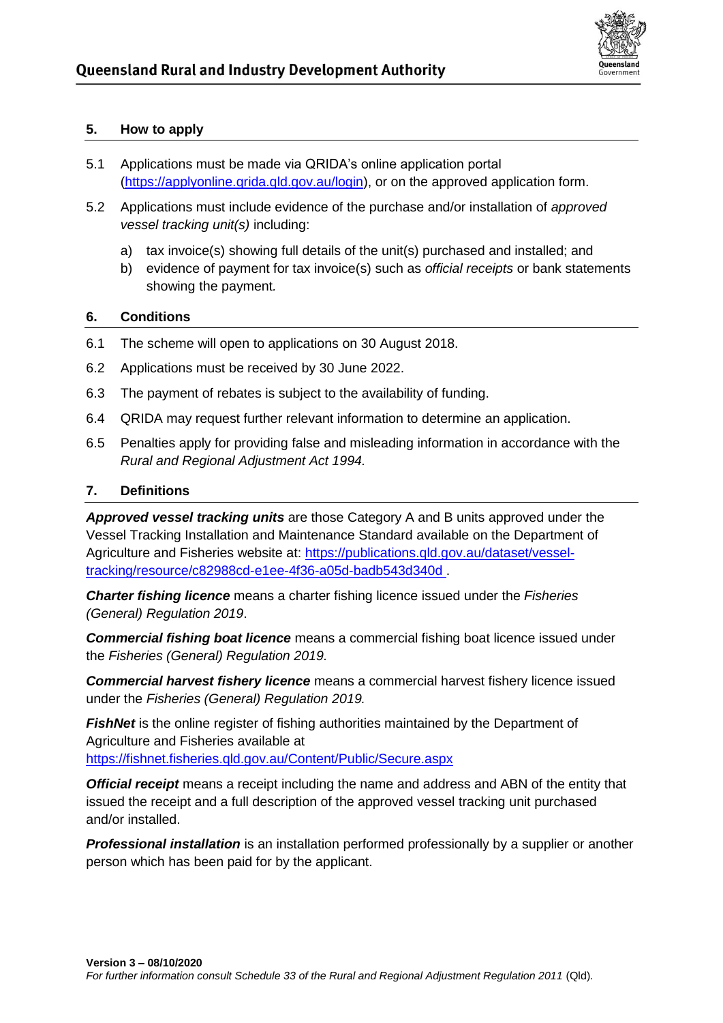

#### **5. How to apply**

- 5.1 Applications must be made via QRIDA's online application portal [\(https://applyonline.qrida.qld.gov.au/login\)](https://applyonline.qrida.qld.gov.au/login), or on the approved application form.
- 5.2 Applications must include evidence of the purchase and/or installation of *approved vessel tracking unit(s)* including:
	- a) tax invoice(s) showing full details of the unit(s) purchased and installed; and
	- b) evidence of payment for tax invoice(s) such as *official receipts* or bank statements showing the payment*.*

## **6. Conditions**

- 6.1 The scheme will open to applications on 30 August 2018.
- 6.2 Applications must be received by 30 June 2022.
- 6.3 The payment of rebates is subject to the availability of funding.
- 6.4 QRIDA may request further relevant information to determine an application.
- 6.5 Penalties apply for providing false and misleading information in accordance with the *Rural and Regional Adjustment Act 1994.*

## **7. Definitions**

*Approved vessel tracking units* are those Category A and B units approved under the Vessel Tracking Installation and Maintenance Standard available on the Department of Agriculture and Fisheries website at: [https://publications.qld.gov.au/dataset/vessel](https://publications.qld.gov.au/dataset/vessel-tracking/resource/c82988cd-e1ee-4f36-a05d-badb543d340d)[tracking/resource/c82988cd-e1ee-4f36-a05d-badb543d340d](https://publications.qld.gov.au/dataset/vessel-tracking/resource/c82988cd-e1ee-4f36-a05d-badb543d340d) .

*Charter fishing licence* means a charter fishing licence issued under the *Fisheries (General) Regulation 2019*.

*Commercial fishing boat licence* means a commercial fishing boat licence issued under the *Fisheries (General) Regulation 2019.* 

*Commercial harvest fishery licence* means a commercial harvest fishery licence issued under the *Fisheries (General) Regulation 2019.*

**FishNet** is the online register of fishing authorities maintained by the Department of Agriculture and Fisheries available at <https://fishnet.fisheries.qld.gov.au/Content/Public/Secure.aspx>

*Official receipt* means a receipt including the name and address and ABN of the entity that issued the receipt and a full description of the approved vessel tracking unit purchased and/or installed.

*Professional installation* is an installation performed professionally by a supplier or another person which has been paid for by the applicant.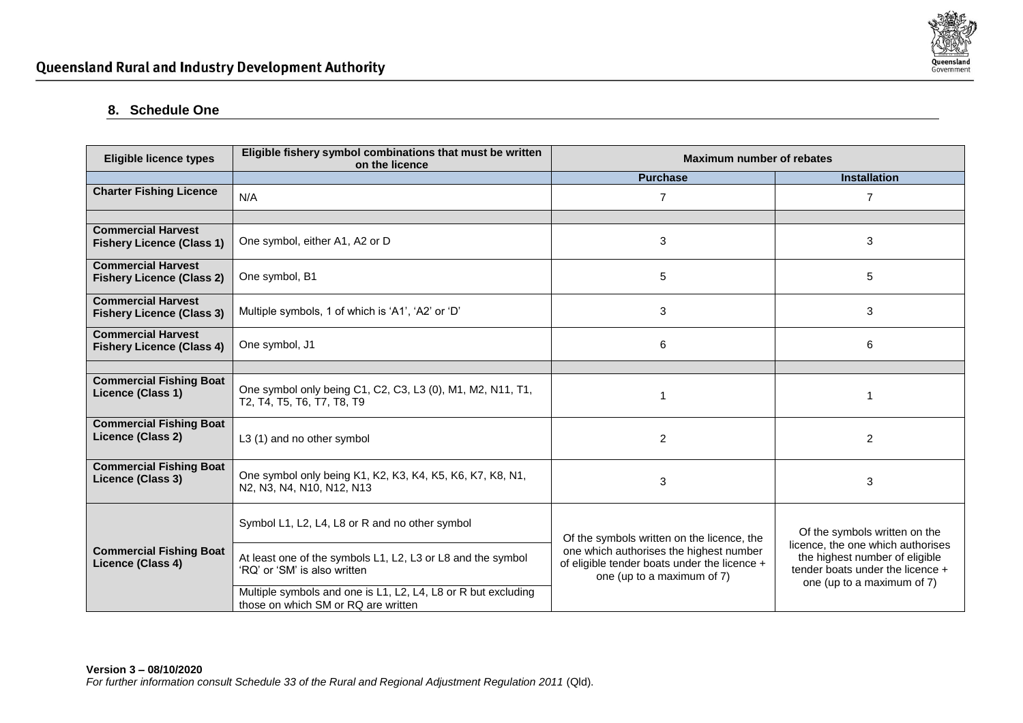

## **8. Schedule One**

| <b>Eligible licence types</b>                                 | Eligible fishery symbol combinations that must be written<br>on the licence                          | Maximum number of rebates                                                                                                                                           |                                                                                                                                       |
|---------------------------------------------------------------|------------------------------------------------------------------------------------------------------|---------------------------------------------------------------------------------------------------------------------------------------------------------------------|---------------------------------------------------------------------------------------------------------------------------------------|
|                                                               |                                                                                                      | <b>Purchase</b>                                                                                                                                                     | <b>Installation</b>                                                                                                                   |
| <b>Charter Fishing Licence</b>                                | N/A                                                                                                  | $\overline{7}$                                                                                                                                                      | $\overline{7}$                                                                                                                        |
|                                                               |                                                                                                      |                                                                                                                                                                     |                                                                                                                                       |
| <b>Commercial Harvest</b><br><b>Fishery Licence (Class 1)</b> | One symbol, either A1, A2 or D                                                                       | 3                                                                                                                                                                   | 3                                                                                                                                     |
| <b>Commercial Harvest</b><br><b>Fishery Licence (Class 2)</b> | One symbol, B1                                                                                       | 5                                                                                                                                                                   | 5                                                                                                                                     |
| <b>Commercial Harvest</b><br><b>Fishery Licence (Class 3)</b> | Multiple symbols, 1 of which is 'A1', 'A2' or 'D'                                                    | 3                                                                                                                                                                   | 3                                                                                                                                     |
| <b>Commercial Harvest</b><br><b>Fishery Licence (Class 4)</b> | One symbol, J1                                                                                       | 6                                                                                                                                                                   | 6                                                                                                                                     |
|                                                               |                                                                                                      |                                                                                                                                                                     |                                                                                                                                       |
| <b>Commercial Fishing Boat</b><br>Licence (Class 1)           | One symbol only being C1, C2, C3, L3 (0), M1, M2, N11, T1,<br>T2, T4, T5, T6, T7, T8, T9             |                                                                                                                                                                     |                                                                                                                                       |
| <b>Commercial Fishing Boat</b><br>Licence (Class 2)           | L3 (1) and no other symbol                                                                           | $\overline{2}$                                                                                                                                                      | $\overline{2}$                                                                                                                        |
| <b>Commercial Fishing Boat</b><br>Licence (Class 3)           | One symbol only being K1, K2, K3, K4, K5, K6, K7, K8, N1,<br>N2, N3, N4, N10, N12, N13               | 3                                                                                                                                                                   | 3                                                                                                                                     |
| <b>Commercial Fishing Boat</b><br>Licence (Class 4)           | Symbol L1, L2, L4, L8 or R and no other symbol                                                       | Of the symbols written on the licence, the<br>one which authorises the highest number<br>of eligible tender boats under the licence +<br>one (up to a maximum of 7) | Of the symbols written on the                                                                                                         |
|                                                               | At least one of the symbols L1, L2, L3 or L8 and the symbol<br>'RQ' or 'SM' is also written          |                                                                                                                                                                     | licence, the one which authorises<br>the highest number of eligible<br>tender boats under the licence +<br>one (up to a maximum of 7) |
|                                                               | Multiple symbols and one is L1, L2, L4, L8 or R but excluding<br>those on which SM or RQ are written |                                                                                                                                                                     |                                                                                                                                       |